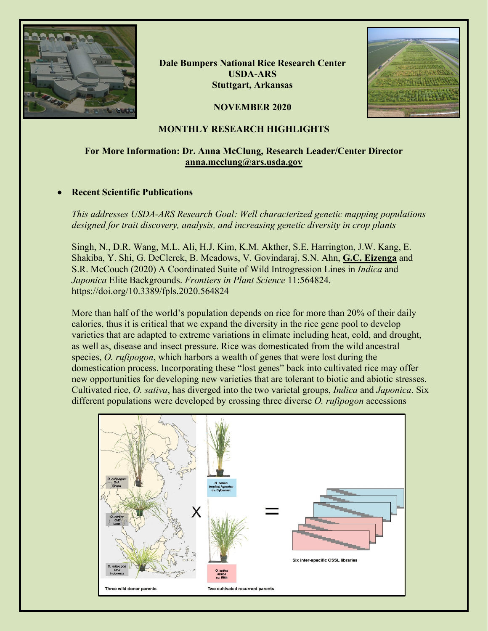

**Dale Bumpers National Rice Research Center USDA-ARS Stuttgart, Arkansas**



### **NOVEMBER 2020**

## **MONTHLY RESEARCH HIGHLIGHTS**

# **For More Information: Dr. Anna McClung, Research Leader/Center Director [anna.mcclung@ars.usda.gov](mailto:anna.mcclung@ars.usda.gov)**

### • **Recent Scientific Publications**

*This addresses USDA-ARS Research Goal: Well characterized genetic mapping populations designed for trait discovery, analysis, and increasing genetic diversity in crop plants* 

Singh, N., D.R. Wang, M.L. Ali, H.J. Kim, K.M. Akther, S.E. Harrington, J.W. Kang, E. Shakiba, Y. Shi, G. DeClerck, B. Meadows, V. Govindaraj, S.N. Ahn, **G.C. Eizenga** and S.R. McCouch (2020) A Coordinated Suite of Wild Introgression Lines in *Indica* and *Japonica* Elite Backgrounds. *Frontiers in Plant Science* 11:564824. https://doi.org/10.3389/fpls.2020.564824

More than half of the world's population depends on rice for more than 20% of their daily calories, thus it is critical that we expand the diversity in the rice gene pool to develop varieties that are adapted to extreme variations in climate including heat, cold, and drought, as well as, disease and insect pressure. Rice was domesticated from the wild ancestral species, *O. rufipogon*, which harbors a wealth of genes that were lost during the domestication process. Incorporating these "lost genes" back into cultivated rice may offer new opportunities for developing new varieties that are tolerant to biotic and abiotic stresses. Cultivated rice, *O. sativa*, has diverged into the two varietal groups, *Indica* and *Japonica*. Six different populations were developed by crossing three diverse *O. rufipogon* accessions

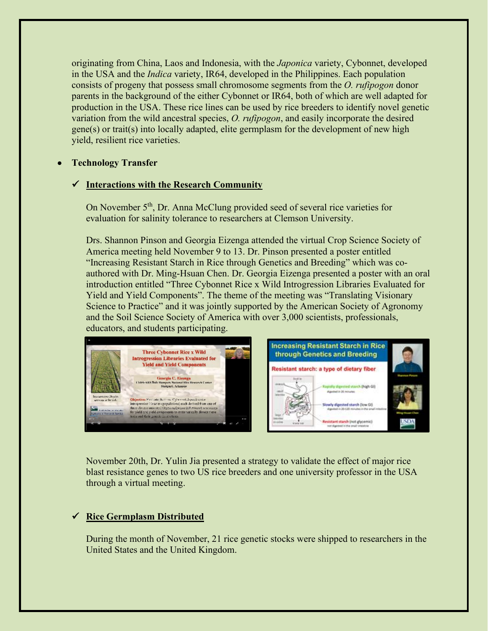originating from China, Laos and Indonesia, with the *Japonica* variety, Cybonnet, developed in the USA and the *Indica* variety, IR64, developed in the Philippines. Each population consists of progeny that possess small chromosome segments from the *O. rufipogon* donor parents in the background of the either Cybonnet or IR64, both of which are well adapted for production in the USA. These rice lines can be used by rice breeders to identify novel genetic variation from the wild ancestral species, *O. rufipogon*, and easily incorporate the desired gene(s) or trait(s) into locally adapted, elite germplasm for the development of new high yield, resilient rice varieties.

### • **Technology Transfer**

#### **Interactions with the Research Community**

On November 5<sup>th</sup>, Dr. Anna McClung provided seed of several rice varieties for evaluation for salinity tolerance to researchers at Clemson University.

Drs. Shannon Pinson and Georgia Eizenga attended the virtual Crop Science Society of America meeting held November 9 to 13. Dr. Pinson presented a poster entitled "Increasing Resistant Starch in Rice through Genetics and Breeding" which was coauthored with Dr. Ming-Hsuan Chen. Dr. Georgia Eizenga presented a poster with an oral introduction entitled "Three Cybonnet Rice x Wild Introgression Libraries Evaluated for Yield and Yield Components". The theme of the meeting was "Translating Visionary Science to Practice" and it was jointly supported by the American Society of Agronomy and the Soil Science Society of America with over 3,000 scientists, professionals, educators, and students participating.



November 20th, Dr. Yulin Jia presented a strategy to validate the effect of major rice blast resistance genes to two US rice breeders and one university professor in the USA through a virtual meeting.

# **Rice Germplasm Distributed**

During the month of November, 21 rice genetic stocks were shipped to researchers in the United States and the United Kingdom.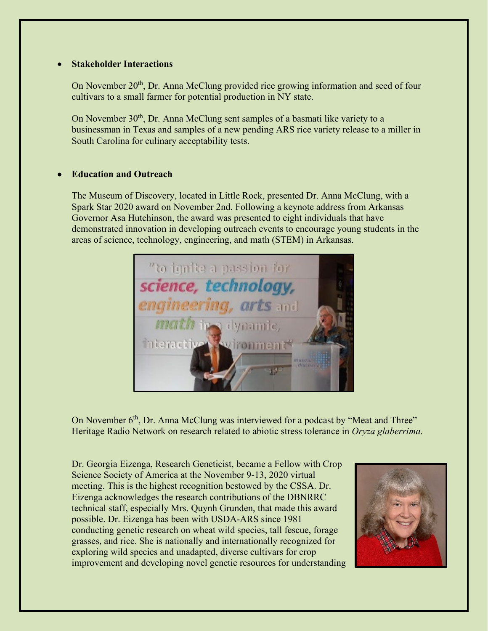### • **Stakeholder Interactions**

On November 20<sup>th</sup>, Dr. Anna McClung provided rice growing information and seed of four cultivars to a small farmer for potential production in NY state.

On November 30<sup>th</sup>, Dr. Anna McClung sent samples of a basmati like variety to a businessman in Texas and samples of a new pending ARS rice variety release to a miller in South Carolina for culinary acceptability tests.

# • **Education and Outreach**

The Museum of Discovery, located in Little Rock, presented Dr. Anna McClung, with a Spark Star 2020 award on November 2nd. Following a keynote address from Arkansas Governor Asa Hutchinson, the award was presented to eight individuals that have demonstrated innovation in developing outreach events to encourage young students in the areas of science, technology, engineering, and math (STEM) in Arkansas.



On November 6<sup>th</sup>, Dr. Anna McClung was interviewed for a podcast by "Meat and Three" Heritage Radio Network on research related to abiotic stress tolerance in *Oryza glaberrima.*

Dr. Georgia Eizenga, Research Geneticist, became a Fellow with Crop Science Society of America at the November 9-13, 2020 virtual meeting. This is the highest recognition bestowed by the CSSA. Dr. Eizenga acknowledges the research contributions of the DBNRRC technical staff, especially Mrs. Quynh Grunden, that made this award possible. Dr. Eizenga has been with USDA-ARS since 1981 conducting genetic research on wheat wild species, tall fescue, forage grasses, and rice. She is nationally and internationally recognized for exploring wild species and unadapted, diverse cultivars for crop improvement and developing novel genetic resources for understanding